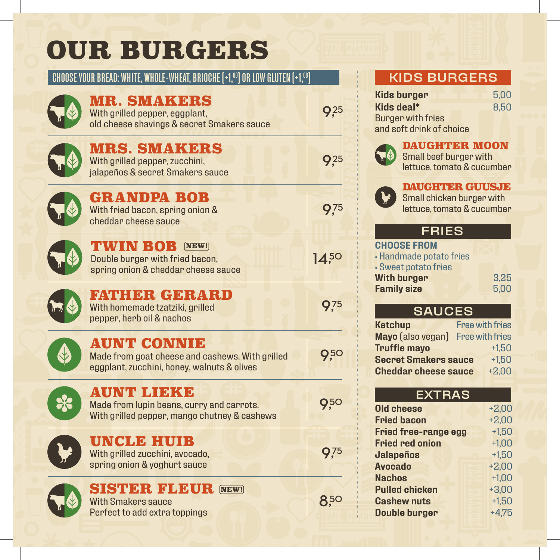# OUR BURGERS

### CHOOSE YOUR BREAD: WHITE, WHOLE-WHEAT, BRIOCHE (+1,00) OR LOW GLUTEN (+1,00)

|    | MR. SMAKERS<br>With grilled pepper, eggplant,<br>old cheese shavings & secret Smakers sauce                          | 9,25            |
|----|----------------------------------------------------------------------------------------------------------------------|-----------------|
|    | <b>MRS. SMAKERS</b><br>With grilled pepper, zucchini,<br>jalapeños & secret Smakers sauce                            | 9 <sub>25</sub> |
|    | <b>GRANDPA BOB</b><br>With fried bacon, spring onion &<br>cheddar cheese sauce                                       | <b>9</b> 75     |
|    | TWIN BOB<br>$[\overline{\mathbf{NEW}}]$<br>Double burger with fried bacon,<br>spring onion & cheddar cheese sauce    | $14^{50}$       |
|    | FATHER GERARD<br>With homemade tzatziki, grilled<br>pepper, herb oil & nachos                                        | <b>9</b> .75    |
|    | <b>AUNT CONNIE</b><br>Made from goat cheese and cashews. With grilled<br>eggplant, zucchini, honey, walnuts & olives | 9,50            |
| 83 | <b>AUNT LIEKE</b><br>Made from lupin beans, curry and carrots.<br>With grilled pepper, mango chutney & cashews       | 950             |
|    | UNCLE HUIB<br>With grilled zucchini, avocado,<br>spring onion & yoghurt sauce                                        | 9.75            |
|    | <b>SISTER FLEUR [NEW!]</b><br><b>With Smakers sauce</b><br>Perfect to add extra toppings                             | 850             |

# KIDS BURGERS

| <b>Kids burger</b>       | 5.00 |
|--------------------------|------|
| Kids deal*               | 8.50 |
| <b>Burger with fries</b> |      |
| and soft drink of choice |      |



#### DAUGHTER MOON

Small beef burger with lettuce, tomato & cucumber



#### DAUGHTER GUUSJE

Small chicken burger with lettuce, tomato & cucumber

## FRIES

| <b>CHOOSE FROM</b>      |  |      |
|-------------------------|--|------|
| · Handmade potato fries |  |      |
| • Sweet potato fries    |  |      |
| <b>With burger</b>      |  | 3,25 |
| <b>Family size</b>      |  | 5,00 |
|                         |  |      |

## SAUCES

| <b>Ketchup</b>              | <b>Free with fries</b> |
|-----------------------------|------------------------|
| Mayo (also vegan)           | <b>Free with fries</b> |
| <b>Truffle mayo</b>         | $+1.50$                |
| <b>Secret Smakers sauce</b> | $+1.50$                |
| <b>Cheddar cheese sauce</b> | $+2.00$                |

#### EXTRAS

| <b>Old cheese</b>           | $+2,00$ |
|-----------------------------|---------|
| <b>Fried bacon</b>          | $+2,00$ |
| <b>Fried free-range egg</b> | $+1.50$ |
| <b>Fried red onion</b>      | $+1.00$ |
| <b>Jalapeños</b>            | $+1.50$ |
| <b>Avocado</b>              | $+2,00$ |
| <b>Nachos</b>               | $+1.00$ |
| <b>Pulled chicken</b>       | $+3,00$ |
| <b>Cashew nuts</b>          | $+1.50$ |
| <b>Double burger</b>        | $+4.75$ |